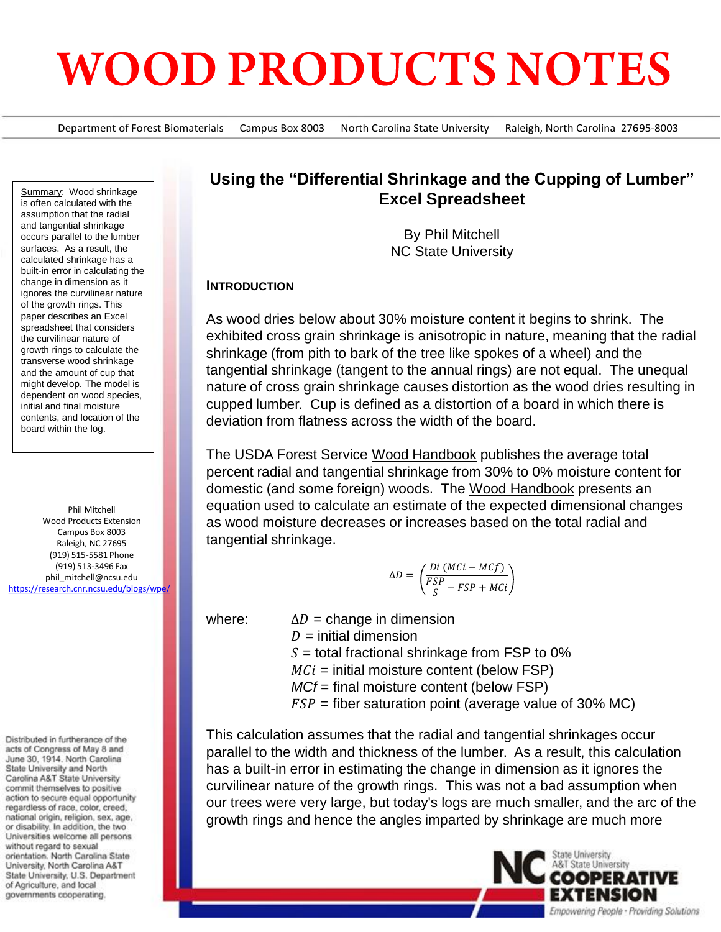# **WOOD PRODUCTS NOTES**

Department of Forest Biomaterials Campus Box 8003 North Carolina State University Raleigh, North Carolina 27695-8003

Summary: Wood shrinkage is often calculated with the assumption that the radial and tangential shrinkage occurs parallel to the lumber surfaces. As a result, the calculated shrinkage has a built-in error in calculating the change in dimension as it ignores the curvilinear nature of the growth rings. This paper describes an Excel spreadsheet that considers the curvilinear nature of growth rings to calculate the transverse wood shrinkage and the amount of cup that might develop. The model is dependent on wood species, initial and final moisture contents, and location of the board within the log.

Phil Mitchell Wood Products Extension Campus Box 8003 Raleigh, NC 27695 (919) 515-5581 Phone (919) 513-3496 Fax phil\_mitchell@ncsu.edu <https://research.cnr.ncsu.edu/blogs/wpe/>

Distributed in furtherance of the acts of Congress of May 8 and June 30, 1914. North Carolina State University and North Carolina A&T State University commit themselves to positive action to secure equal opportunity regardless of race, color, creed, national origin, religion, sex, age, or disability. In addition, the two Universities welcome all persons without regard to sexual orientation. North Carolina State University, North Carolina A&T State University, U.S. Department of Agriculture, and local governments cooperating.

## **Using the "Differential Shrinkage and the Cupping of Lumber" Excel Spreadsheet**

By Phil Mitchell NC State University

#### **INTRODUCTION**

As wood dries below about 30% moisture content it begins to shrink. The exhibited cross grain shrinkage is anisotropic in nature, meaning that the radial shrinkage (from pith to bark of the tree like spokes of a wheel) and the tangential shrinkage (tangent to the annual rings) are not equal. The unequal nature of cross grain shrinkage causes distortion as the wood dries resulting in cupped lumber. Cup is defined as a distortion of a board in which there is deviation from flatness across the width of the board.

The USDA Forest Service Wood Handbook publishes the average total percent radial and tangential shrinkage from 30% to 0% moisture content for domestic (and some foreign) woods. The Wood Handbook presents an equation used to calculate an estimate of the expected dimensional changes as wood moisture decreases or increases based on the total radial and tangential shrinkage.

$$
\Delta D = \left(\frac{Di\left(MCi - MCf\right)}{\frac{FSP}{S} - FSP + MCi}\right)
$$

where:  $\Delta D =$  change in dimension  $D =$  initial dimension

 $S =$  total fractional shrinkage from FSP to 0%

 $MCi =$  initial moisture content (below FSP)

*MCf* = final moisture content (below FSP)

 $FSP =$  fiber saturation point (average value of 30% MC)

This calculation assumes that the radial and tangential shrinkages occur parallel to the width and thickness of the lumber. As a result, this calculation has a built-in error in estimating the change in dimension as it ignores the curvilinear nature of the growth rings. This was not a bad assumption when our trees were very large, but today's logs are much smaller, and the arc of the growth rings and hence the angles imparted by shrinkage are much more

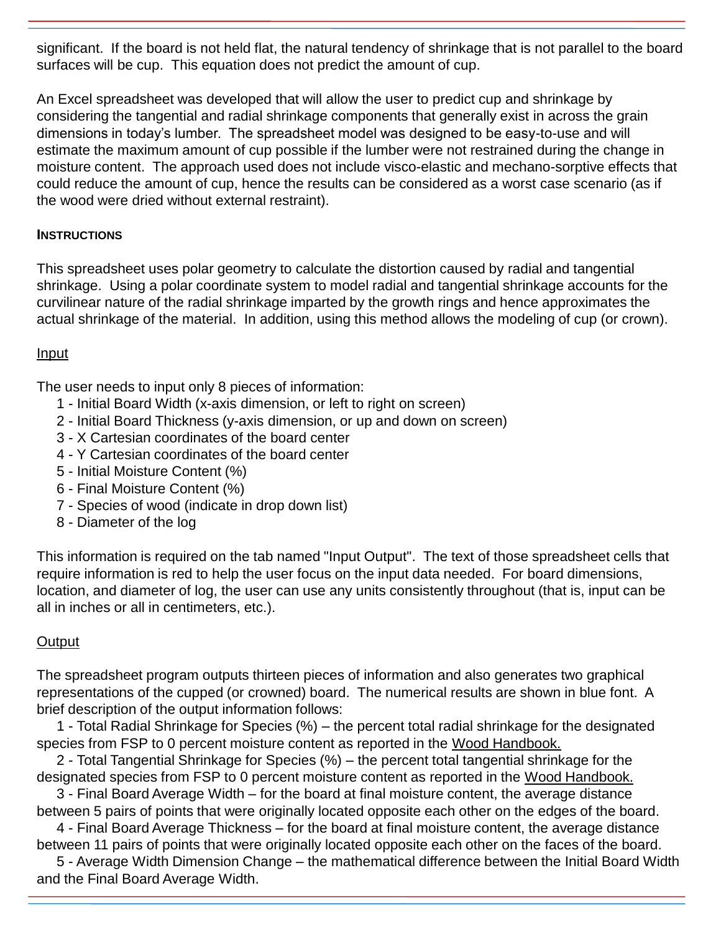significant. If the board is not held flat, the natural tendency of shrinkage that is not parallel to the board surfaces will be cup. This equation does not predict the amount of cup.

An Excel spreadsheet was developed that will allow the user to predict cup and shrinkage by considering the tangential and radial shrinkage components that generally exist in across the grain dimensions in today's lumber. The spreadsheet model was designed to be easy-to-use and will estimate the maximum amount of cup possible if the lumber were not restrained during the change in moisture content. The approach used does not include visco-elastic and mechano-sorptive effects that could reduce the amount of cup, hence the results can be considered as a worst case scenario (as if the wood were dried without external restraint).

### **INSTRUCTIONS**

This spreadsheet uses polar geometry to calculate the distortion caused by radial and tangential shrinkage. Using a polar coordinate system to model radial and tangential shrinkage accounts for the curvilinear nature of the radial shrinkage imparted by the growth rings and hence approximates the actual shrinkage of the material. In addition, using this method allows the modeling of cup (or crown).

#### Input

The user needs to input only 8 pieces of information:

- 1 Initial Board Width (x-axis dimension, or left to right on screen)
- 2 Initial Board Thickness (y-axis dimension, or up and down on screen)
- 3 X Cartesian coordinates of the board center
- 4 Y Cartesian coordinates of the board center
- 5 Initial Moisture Content (%)
- 6 Final Moisture Content (%)
- 7 Species of wood (indicate in drop down list)
- 8 Diameter of the log

This information is required on the tab named "Input Output". The text of those spreadsheet cells that require information is red to help the user focus on the input data needed. For board dimensions, location, and diameter of log, the user can use any units consistently throughout (that is, input can be all in inches or all in centimeters, etc.).

### **Output**

The spreadsheet program outputs thirteen pieces of information and also generates two graphical representations of the cupped (or crowned) board. The numerical results are shown in blue font. A brief description of the output information follows:

1 - Total Radial Shrinkage for Species (%) – the percent total radial shrinkage for the designated species from FSP to 0 percent moisture content as reported in the Wood Handbook.

2 - Total Tangential Shrinkage for Species (%) – the percent total tangential shrinkage for the designated species from FSP to 0 percent moisture content as reported in the Wood Handbook.

3 - Final Board Average Width – for the board at final moisture content, the average distance between 5 pairs of points that were originally located opposite each other on the edges of the board.

4 - Final Board Average Thickness – for the board at final moisture content, the average distance between 11 pairs of points that were originally located opposite each other on the faces of the board.

5 - Average Width Dimension Change – the mathematical difference between the Initial Board Width and the Final Board Average Width.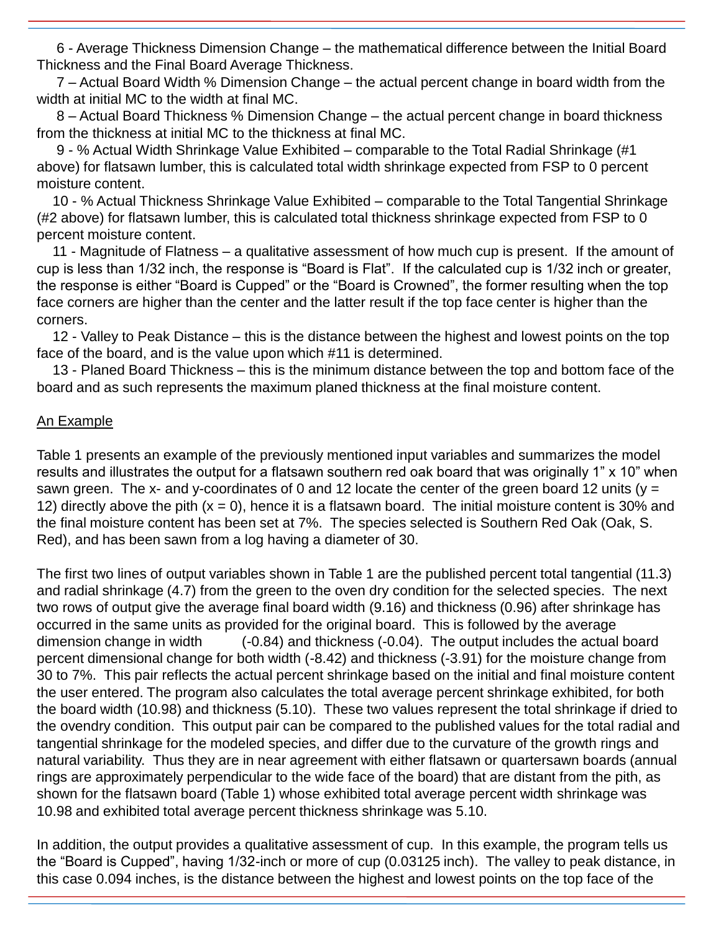6 - Average Thickness Dimension Change – the mathematical difference between the Initial Board Thickness and the Final Board Average Thickness.

7 – Actual Board Width % Dimension Change – the actual percent change in board width from the width at initial MC to the width at final MC.

8 – Actual Board Thickness % Dimension Change – the actual percent change in board thickness from the thickness at initial MC to the thickness at final MC.

9 - % Actual Width Shrinkage Value Exhibited – comparable to the Total Radial Shrinkage (#1 above) for flatsawn lumber, this is calculated total width shrinkage expected from FSP to 0 percent moisture content.

10 - % Actual Thickness Shrinkage Value Exhibited – comparable to the Total Tangential Shrinkage (#2 above) for flatsawn lumber, this is calculated total thickness shrinkage expected from FSP to 0 percent moisture content.

11 - Magnitude of Flatness – a qualitative assessment of how much cup is present. If the amount of cup is less than 1/32 inch, the response is "Board is Flat". If the calculated cup is 1/32 inch or greater, the response is either "Board is Cupped" or the "Board is Crowned", the former resulting when the top face corners are higher than the center and the latter result if the top face center is higher than the corners.

12 - Valley to Peak Distance – this is the distance between the highest and lowest points on the top face of the board, and is the value upon which #11 is determined.

13 - Planed Board Thickness – this is the minimum distance between the top and bottom face of the board and as such represents the maximum planed thickness at the final moisture content.

#### An Example

Table 1 presents an example of the previously mentioned input variables and summarizes the model results and illustrates the output for a flatsawn southern red oak board that was originally 1" x 10" when sawn green. The x- and y-coordinates of 0 and 12 locate the center of the green board 12 units ( $y =$ 12) directly above the pith  $(x = 0)$ , hence it is a flatsawn board. The initial moisture content is 30% and the final moisture content has been set at 7%. The species selected is Southern Red Oak (Oak, S. Red), and has been sawn from a log having a diameter of 30.

The first two lines of output variables shown in Table 1 are the published percent total tangential (11.3) and radial shrinkage (4.7) from the green to the oven dry condition for the selected species. The next two rows of output give the average final board width (9.16) and thickness (0.96) after shrinkage has occurred in the same units as provided for the original board. This is followed by the average dimension change in width (-0.84) and thickness (-0.04). The output includes the actual board percent dimensional change for both width (-8.42) and thickness (-3.91) for the moisture change from 30 to 7%. This pair reflects the actual percent shrinkage based on the initial and final moisture content the user entered. The program also calculates the total average percent shrinkage exhibited, for both the board width (10.98) and thickness (5.10). These two values represent the total shrinkage if dried to the ovendry condition. This output pair can be compared to the published values for the total radial and tangential shrinkage for the modeled species, and differ due to the curvature of the growth rings and natural variability. Thus they are in near agreement with either flatsawn or quartersawn boards (annual rings are approximately perpendicular to the wide face of the board) that are distant from the pith, as shown for the flatsawn board (Table 1) whose exhibited total average percent width shrinkage was 10.98 and exhibited total average percent thickness shrinkage was 5.10.

In addition, the output provides a qualitative assessment of cup. In this example, the program tells us the "Board is Cupped", having 1/32-inch or more of cup (0.03125 inch). The valley to peak distance, in this case 0.094 inches, is the distance between the highest and lowest points on the top face of the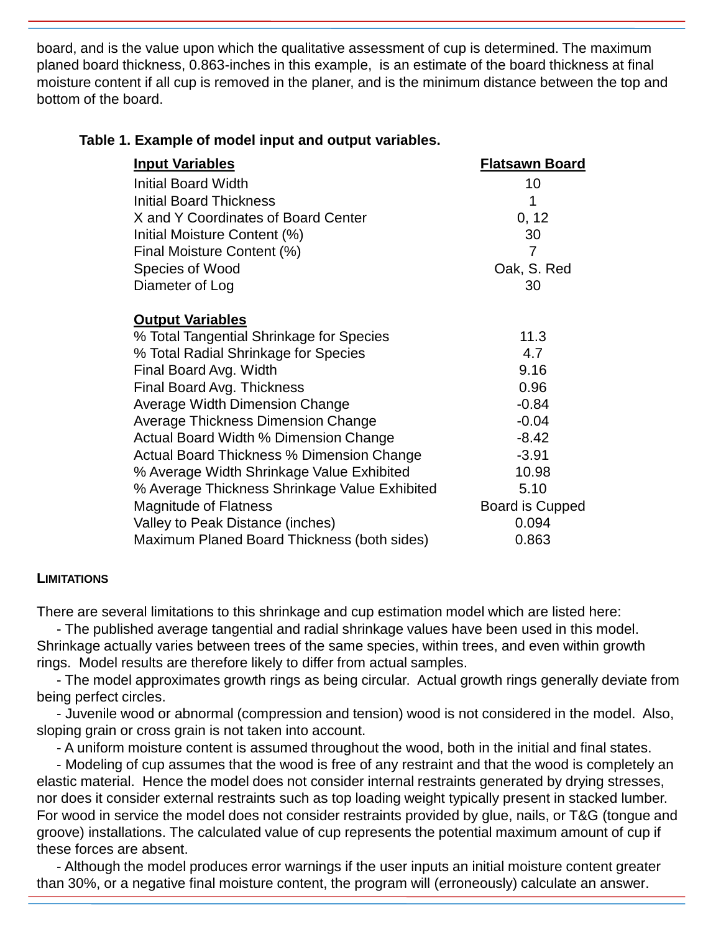board, and is the value upon which the qualitative assessment of cup is determined. The maximum planed board thickness, 0.863-inches in this example, is an estimate of the board thickness at final moisture content if all cup is removed in the planer, and is the minimum distance between the top and bottom of the board.

| <b>Input Variables</b>                           | <b>Flatsawn Board</b> |
|--------------------------------------------------|-----------------------|
| Initial Board Width                              | 10                    |
| <b>Initial Board Thickness</b>                   | 1                     |
| X and Y Coordinates of Board Center              | 0, 12                 |
| Initial Moisture Content (%)                     | 30                    |
| Final Moisture Content (%)                       | 7                     |
| Species of Wood                                  | Oak, S. Red           |
| Diameter of Log                                  | 30                    |
|                                                  |                       |
| <b>Output Variables</b>                          |                       |
| % Total Tangential Shrinkage for Species         | 11.3                  |
| % Total Radial Shrinkage for Species             | 4.7                   |
| Final Board Avg. Width                           | 9.16                  |
| Final Board Avg. Thickness                       | 0.96                  |
| Average Width Dimension Change                   | $-0.84$               |
| Average Thickness Dimension Change               | $-0.04$               |
| Actual Board Width % Dimension Change            | $-8.42$               |
| <b>Actual Board Thickness % Dimension Change</b> | $-3.91$               |
| % Average Width Shrinkage Value Exhibited        | 10.98                 |
| % Average Thickness Shrinkage Value Exhibited    | 5.10                  |
| <b>Magnitude of Flatness</b>                     | Board is Cupped       |
| Valley to Peak Distance (inches)                 | 0.094                 |
| Maximum Planed Board Thickness (both sides)      | 0.863                 |
|                                                  |                       |

#### **Table 1. Example of model input and output variables.**

#### **LIMITATIONS**

There are several limitations to this shrinkage and cup estimation model which are listed here:

- The published average tangential and radial shrinkage values have been used in this model. Shrinkage actually varies between trees of the same species, within trees, and even within growth rings. Model results are therefore likely to differ from actual samples.

- The model approximates growth rings as being circular. Actual growth rings generally deviate from being perfect circles.

- Juvenile wood or abnormal (compression and tension) wood is not considered in the model. Also, sloping grain or cross grain is not taken into account.

- A uniform moisture content is assumed throughout the wood, both in the initial and final states.

- Modeling of cup assumes that the wood is free of any restraint and that the wood is completely an elastic material. Hence the model does not consider internal restraints generated by drying stresses, nor does it consider external restraints such as top loading weight typically present in stacked lumber. For wood in service the model does not consider restraints provided by glue, nails, or T&G (tongue and groove) installations. The calculated value of cup represents the potential maximum amount of cup if these forces are absent.

- Although the model produces error warnings if the user inputs an initial moisture content greater than 30%, or a negative final moisture content, the program will (erroneously) calculate an answer.